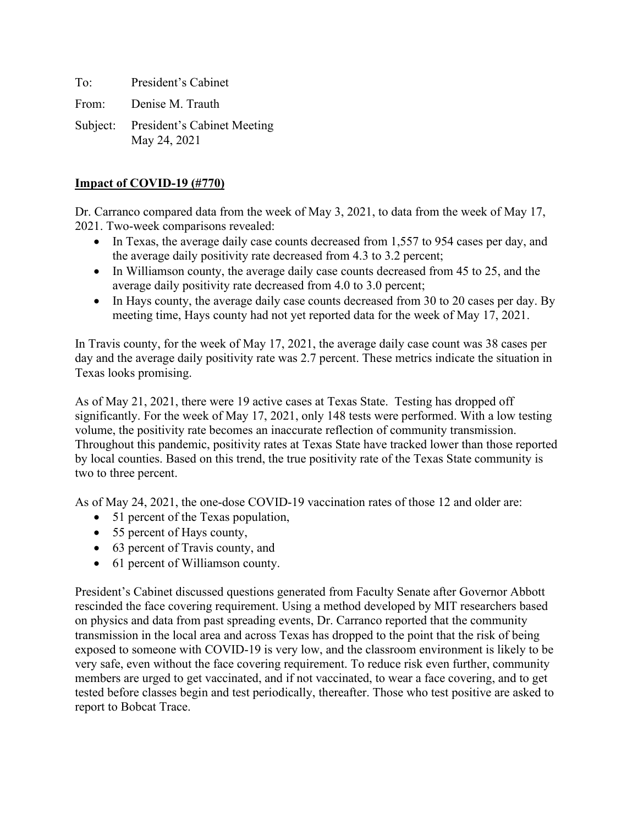To: President's Cabinet

From: Denise M. Trauth

Subject: President's Cabinet Meeting May 24, 2021

#### **Impact of COVID-19 (#770)**

Dr. Carranco compared data from the week of May 3, 2021, to data from the week of May 17, 2021. Two-week comparisons revealed:

- In Texas, the average daily case counts decreased from 1,557 to 954 cases per day, and the average daily positivity rate decreased from 4.3 to 3.2 percent;
- In Williamson county, the average daily case counts decreased from 45 to 25, and the average daily positivity rate decreased from 4.0 to 3.0 percent;
- In Hays county, the average daily case counts decreased from 30 to 20 cases per day. By meeting time, Hays county had not yet reported data for the week of May 17, 2021.

In Travis county, for the week of May 17, 2021, the average daily case count was 38 cases per day and the average daily positivity rate was 2.7 percent. These metrics indicate the situation in Texas looks promising.

As of May 21, 2021, there were 19 active cases at Texas State. Testing has dropped off significantly. For the week of May 17, 2021, only 148 tests were performed. With a low testing volume, the positivity rate becomes an inaccurate reflection of community transmission. Throughout this pandemic, positivity rates at Texas State have tracked lower than those reported by local counties. Based on this trend, the true positivity rate of the Texas State community is two to three percent.

As of May 24, 2021, the one-dose COVID-19 vaccination rates of those 12 and older are:

- 51 percent of the Texas population,
- 55 percent of Hays county,
- 63 percent of Travis county, and
- 61 percent of Williamson county.

President's Cabinet discussed questions generated from Faculty Senate after Governor Abbott rescinded the face covering requirement. Using a method developed by MIT researchers based on physics and data from past spreading events, Dr. Carranco reported that the community transmission in the local area and across Texas has dropped to the point that the risk of being exposed to someone with COVID-19 is very low, and the classroom environment is likely to be very safe, even without the face covering requirement. To reduce risk even further, community members are urged to get vaccinated, and if not vaccinated, to wear a face covering, and to get tested before classes begin and test periodically, thereafter. Those who test positive are asked to report to Bobcat Trace.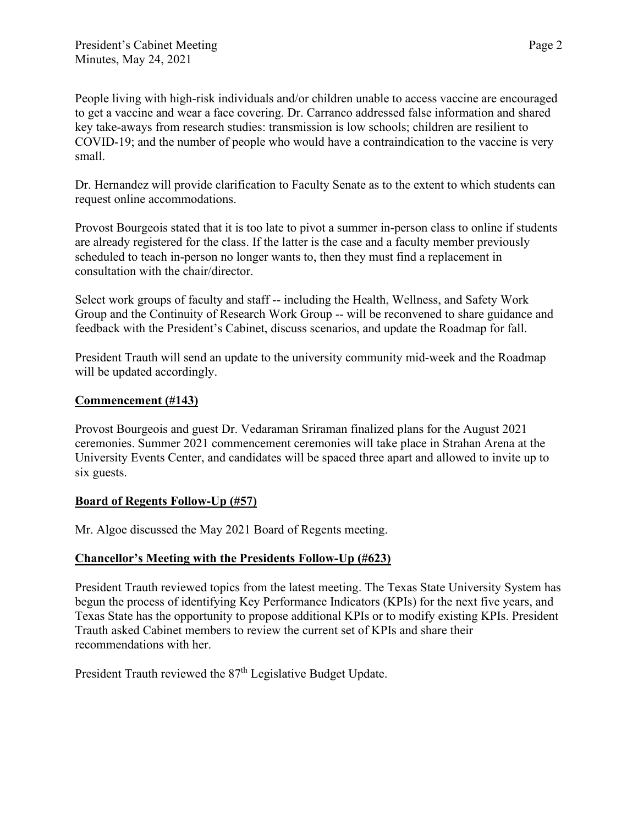People living with high-risk individuals and/or children unable to access vaccine are encouraged to get a vaccine and wear a face covering. Dr. Carranco addressed false information and shared key take-aways from research studies: transmission is low schools; children are resilient to COVID-19; and the number of people who would have a contraindication to the vaccine is very small.

Dr. Hernandez will provide clarification to Faculty Senate as to the extent to which students can request online accommodations.

Provost Bourgeois stated that it is too late to pivot a summer in-person class to online if students are already registered for the class. If the latter is the case and a faculty member previously scheduled to teach in-person no longer wants to, then they must find a replacement in consultation with the chair/director.

Select work groups of faculty and staff -- including the Health, Wellness, and Safety Work Group and the Continuity of Research Work Group -- will be reconvened to share guidance and feedback with the President's Cabinet, discuss scenarios, and update the Roadmap for fall.

President Trauth will send an update to the university community mid-week and the Roadmap will be updated accordingly.

### **Commencement (#143)**

Provost Bourgeois and guest Dr. Vedaraman Sriraman finalized plans for the August 2021 ceremonies. Summer 2021 commencement ceremonies will take place in Strahan Arena at the University Events Center, and candidates will be spaced three apart and allowed to invite up to six guests.

### **Board of Regents Follow-Up (#57)**

Mr. Algoe discussed the May 2021 Board of Regents meeting.

### **Chancellor's Meeting with the Presidents Follow-Up (#623)**

President Trauth reviewed topics from the latest meeting. The Texas State University System has begun the process of identifying Key Performance Indicators (KPIs) for the next five years, and Texas State has the opportunity to propose additional KPIs or to modify existing KPIs. President Trauth asked Cabinet members to review the current set of KPIs and share their recommendations with her.

President Trauth reviewed the 87<sup>th</sup> Legislative Budget Update.